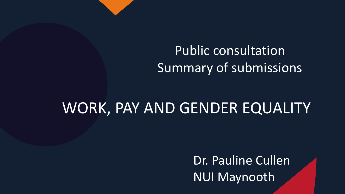## Public consultation Summary of submissions

## WORK, PAY AND GENDER EQUALITY

Dr. Pauline Cullen NUI Maynooth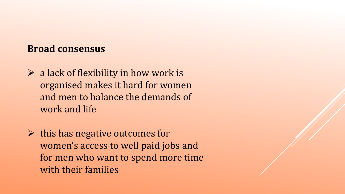#### **Broad consensus**

- $\triangleright$  a lack of flexibility in how work is organised makes it hard for women and men to balance the demands of work and life
- $\triangleright$  this has negative outcomes for women's access to well paid jobs and for men who want to spend more time with their families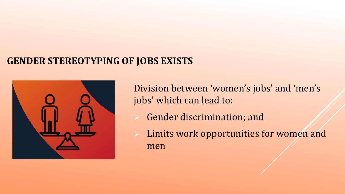#### **GENDER STEREOTYPING OF JOBS EXISTS**



Division between 'women's jobs' and 'men's jobs' which can lead to:

- Gender discrimination; and
- $\triangleright$  Limits work opportunities for women and men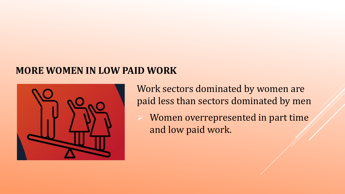#### **MORE WOMEN IN LOW PAID WORK**



Work sectors dominated by women are paid less than sectors dominated by men Women overrepresented in part time

and low paid work.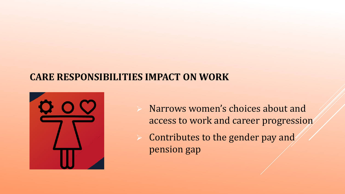#### **CARE RESPONSIBILITIES IMPACT ON WORK**



- Narrows women's choices about and access to work and career progression
- Contributes to the gender pay and pension gap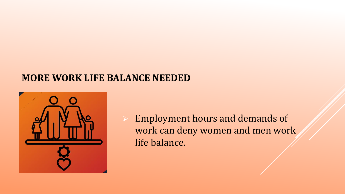#### **MORE WORK LIFE BALANCE NEEDED**



 Employment hours and demands of work can deny women and men work life balance.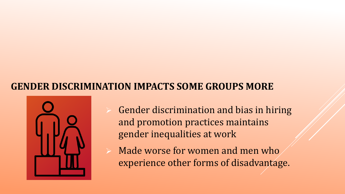#### **GENDER DISCRIMINATION IMPACTS SOME GROUPS MORE**



- Gender discrimination and bias in hiring and promotion practices maintains gender inequalities at work
- Made worse for women and men who experience other forms of disadvantage.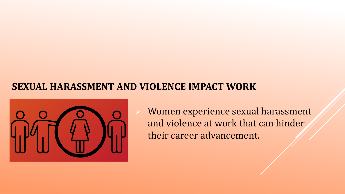#### **SEXUAL HARASSMENT AND VIOLENCE IMPACT WORK**



 Women experience sexual harassment and violence at work that can hinder their career advancement.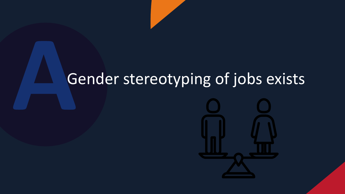# Gender stereotyping of jobs exists

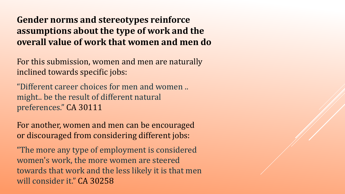#### **Gender norms and stereotypes reinforce assumptions about the type of work and the overall value of work that women and men do**

For this submission, women and men are naturally inclined towards specific jobs:

"Different career choices for men and women .. might.. be the result of different natural preferences." CA 30111

For another, women and men can be encouraged or discouraged from considering different jobs:

"The more any type of employment is considered women's work, the more women are steered towards that work and the less likely it is that men will consider it." CA 30258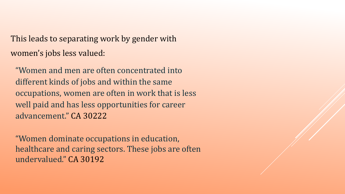This leads to separating work by gender with women's jobs less valued:

"Women and men are often concentrated into different kinds of jobs and within the same occupations, women are often in work that is less well paid and has less opportunities for career advancement." CA 30222

"Women dominate occupations in education, healthcare and caring sectors. These jobs are often undervalued." CA 30192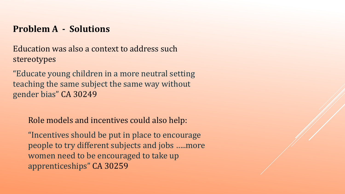#### **Problem A - Solutions**

Education was also a context to address such stereotypes

"Educate young children in a more neutral setting teaching the same subject the same way without gender bias" CA 30249

Role models and incentives could also help:

"Incentives should be put in place to encourage people to try different subjects and jobs …..more women need to be encouraged to take up apprenticeships" CA 30259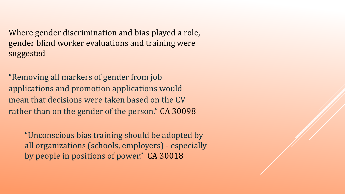Where gender discrimination and bias played a role, gender blind worker evaluations and training were suggested

"Removing all markers of gender from job applications and promotion applications would mean that decisions were taken based on the CV rather than on the gender of the person." CA 30098

"Unconscious bias training should be adopted by all organizations (schools, employers) - especially by people in positions of power." CA 30018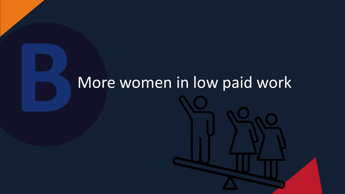# More women in low paid work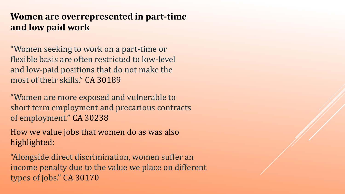#### **Women are overrepresented in part-time and low paid work**

"Women seeking to work on a part-time or flexible basis are often restricted to low-level and low-paid positions that do not make the most of their skills." CA 30189

"Women are more exposed and vulnerable to short term employment and precarious contracts of employment." CA 30238

How we value jobs that women do as was also highlighted:

"Alongside direct discrimination, women suffer an income penalty due to the value we place on different types of jobs." CA 30170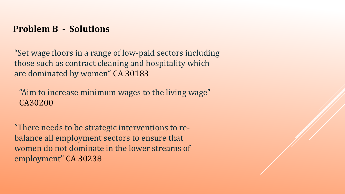#### **Problem B - Solutions**

"Set wage floors in a range of low-paid sectors including those such as contract cleaning and hospitality which are dominated by women" CA 30183

"Aim to increase minimum wages to the living wage" CA30200

"There needs to be strategic interventions to rebalance all employment sectors to ensure that women do not dominate in the lower streams of employment" CA 30238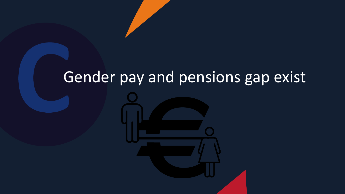# Gender pay and pensions gap exist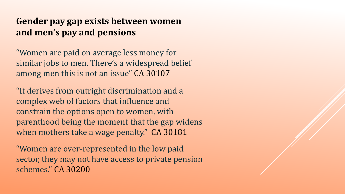#### **Gender pay gap exists between women and men's pay and pensions**

"Women are paid on average less money for similar jobs to men. There's a widespread belief among men this is not an issue" CA 30107

"It derives from outright discrimination and a complex web of factors that influence and constrain the options open to women, with parenthood being the moment that the gap widens when mothers take a wage penalty." CA 30181

"Women are over-represented in the low paid sector, they may not have access to private pension schemes." CA 30200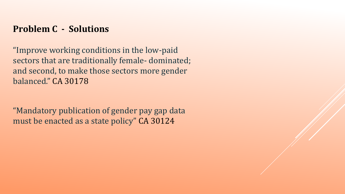#### **Problem C - Solutions**

"Improve working conditions in the low-paid sectors that are traditionally female- dominated; and second, to make those sectors more gender balanced." CA 30178

"Mandatory publication of gender pay gap data must be enacted as a state policy" CA 30124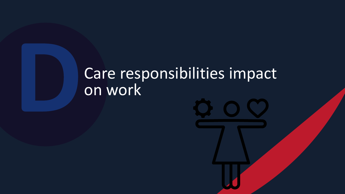# Care responsibilities impact on work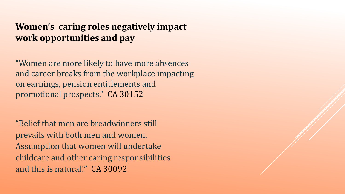#### **Women's caring roles negatively impact work opportunities and pay**

"Women are more likely to have more absences and career breaks from the workplace impacting on earnings, pension entitlements and promotional prospects." CA 30152

"Belief that men are breadwinners still prevails with both men and women. Assumption that women will undertake childcare and other caring responsibilities and this is natural!" CA 30092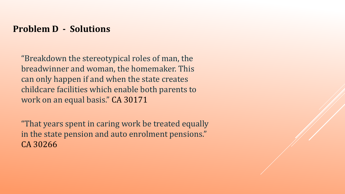#### **Problem D - Solutions**

"Breakdown the stereotypical roles of man, the breadwinner and woman, the homemaker. This can only happen if and when the state creates childcare facilities which enable both parents to work on an equal basis." CA 30171

"That years spent in caring work be treated equally in the state pension and auto enrolment pensions." CA 30266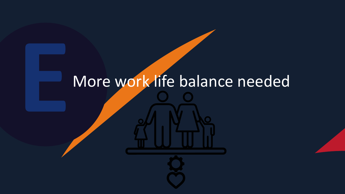# More work life balance needed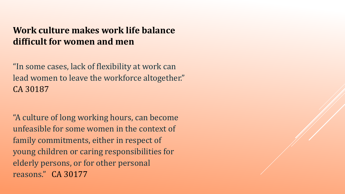#### **Work culture makes work life balance difficult for women and men**

"In some cases, lack of flexibility at work can lead women to leave the workforce altogether." CA 30187

"A culture of long working hours, can become unfeasible for some women in the context of family commitments, either in respect of young children or caring responsibilities for elderly persons, or for other personal reasons." CA 30177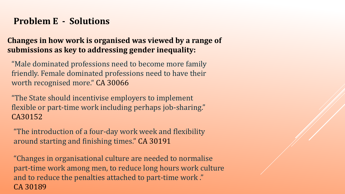#### **Problem E - Solutions**

**Changes in how work is organised was viewed by a range of submissions as key to addressing gender inequality:**

"Male dominated professions need to become more family friendly. Female dominated professions need to have their worth recognised more." CA 30066

"The State should incentivise employers to implement flexible or part-time work including perhaps job-sharing." CA30152

"The introduction of a four-day work week and flexibility around starting and finishing times." CA 30191

"Changes in organisational culture are needed to normalise part-time work among men, to reduce long hours work culture and to reduce the penalties attached to part-time work ." CA 30189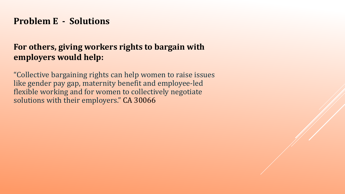#### **Problem E - Solutions**

#### **For others, giving workers rights to bargain with employers would help:**

"Collective bargaining rights can help women to raise issues like gender pay gap, maternity benefit and employee-led flexible working and for women to collectively negotiate solutions with their employers." CA 30066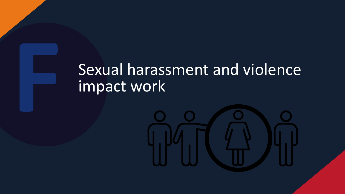# Sexual harassment and violence impact work

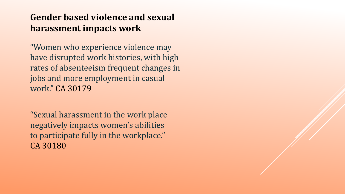#### **Gender based violence and sexual harassment impacts work**

"Women who experience violence may have disrupted work histories, with high rates of absenteeism frequent changes in jobs and more employment in casual work." CA 30179

"Sexual harassment in the work place negatively impacts women's abilities to participate fully in the workplace." CA 30180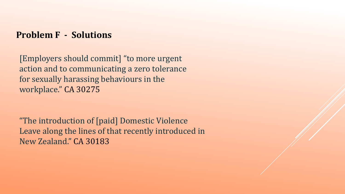**Problem F - Solutions**

[Employers should commit] "to more urgent action and to communicating a zero tolerance for sexually harassing behaviours in the workplace." CA 30275

"The introduction of [paid] Domestic Violence Leave along the lines of that recently introduced in New Zealand." CA 30183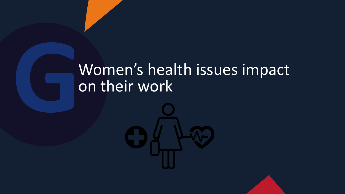# Women's health issues impact on their work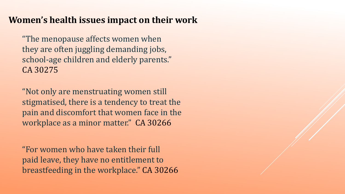#### **Women's health issues impact on their work**

"The menopause affects women when they are often juggling demanding jobs, school-age children and elderly parents." CA 30275

"Not only are menstruating women still stigmatised, there is a tendency to treat the pain and discomfort that women face in the workplace as a minor matter." CA 30266

"For women who have taken their full paid leave, they have no entitlement to breastfeeding in the workplace." CA 30266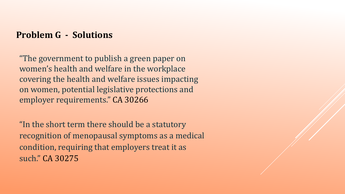#### **Problem G - Solutions**

"The government to publish a green paper on women's health and welfare in the workplace covering the health and welfare issues impacting on women, potential legislative protections and employer requirements." CA 30266

"In the short term there should be a statutory recognition of menopausal symptoms as a medical condition, requiring that employers treat it as such." CA 30275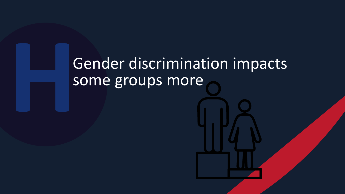# Gender discrimination impacts some groups more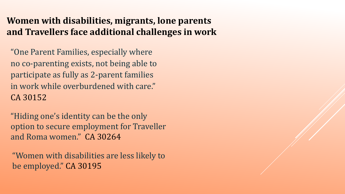#### **Women with disabilities, migrants, lone parents and Travellers face additional challenges in work**

"One Parent Families, especially where no co-parenting exists, not being able to participate as fully as 2-parent families in work while overburdened with care." CA 30152

"Hiding one's identity can be the only option to secure employment for Traveller and Roma women." CA 30264

"Women with disabilities are less likely to be employed." CA 30195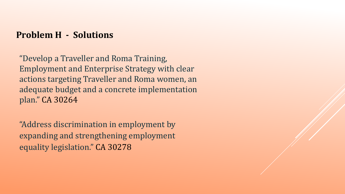#### **Problem H - Solutions**

"Develop a Traveller and Roma Training, Employment and Enterprise Strategy with clear actions targeting Traveller and Roma women, an adequate budget and a concrete implementation plan." CA 30264

"Address discrimination in employment by expanding and strengthening employment equality legislation." CA 30278